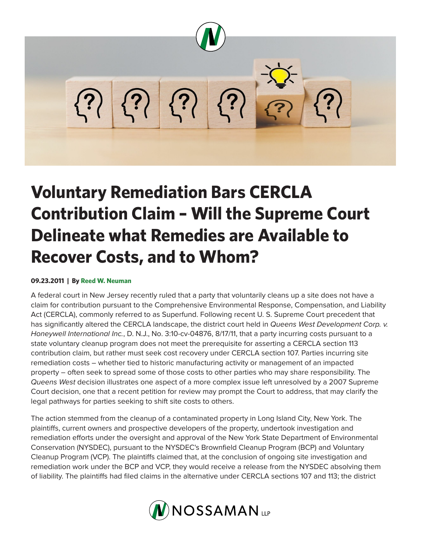

## **Voluntary Remediation Bars CERCLA Contribution Claim – Will the Supreme Court Delineate what Remedies are Available to Recover Costs, and to Whom?**

## **09.23.2011 | By Reed W. Neuman**

A federal court in New Jersey recently ruled that a party that voluntarily cleans up a site does not have a claim for contribution pursuant to the Comprehensive Environmental Response, Compensation, and Liability Act (CERCLA), commonly referred to as Superfund. Following recent U. S. Supreme Court precedent that has significantly altered the CERCLA landscape, the district court held in *Queens West Development Corp. v. Honeywell International Inc.*, D. N.J., No. 3:10-cv-04876, 8/17/11, that a party incurring costs pursuant to a state voluntary cleanup program does not meet the prerequisite for asserting a CERCLA section 113 contribution claim, but rather must seek cost recovery under CERCLA section 107. Parties incurring site remediation costs – whether tied to historic manufacturing activity or management of an impacted property – often seek to spread some of those costs to other parties who may share responsibility. The *Queens West* decision illustrates one aspect of a more complex issue left unresolved by a 2007 Supreme Court decision, one that a recent petition for review may prompt the Court to address, that may clarify the legal pathways for parties seeking to shift site costs to others.

The action stemmed from the cleanup of a contaminated property in Long Island City, New York. The plaintiffs, current owners and prospective developers of the property, undertook investigation and remediation efforts under the oversight and approval of the New York State Department of Environmental Conservation (NYSDEC), pursuant to the NYSDEC's Brownfield Cleanup Program (BCP) and Voluntary Cleanup Program (VCP). The plaintiffs claimed that, at the conclusion of ongoing site investigation and remediation work under the BCP and VCP, they would receive a release from the NYSDEC absolving them of liability. The plaintiffs had filed claims in the alternative under CERCLA sections 107 and 113; the district

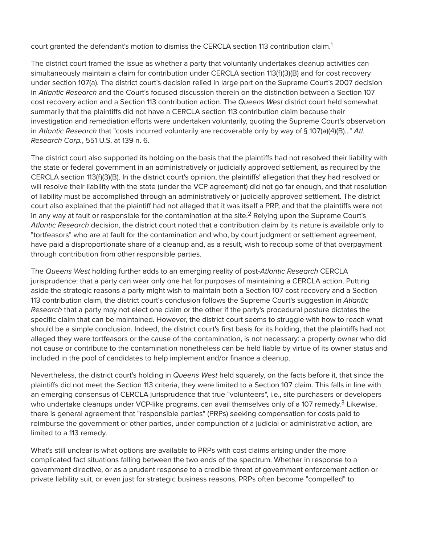court granted the defendant's motion to dismiss the CERCLA section 113 contribution claim.<sup>1</sup>

The district court framed the issue as whether a party that voluntarily undertakes cleanup activities can simultaneously maintain a claim for contribution under CERCLA section 113(f)(3)(B) and for cost recovery under section 107(a). The district court's decision relied in large part on the Supreme Court's 2007 decision in *Atlantic Research* and the Court's focused discussion therein on the distinction between a Section 107 cost recovery action and a Section 113 contribution action. The *Queens West* district court held somewhat summarily that the plaintiffs did not have a CERCLA section 113 contribution claim because their investigation and remediation efforts were undertaken voluntarily, quoting the Supreme Court's observation in *Atlantic Research* that "costs incurred voluntarily are recoverable only by way of § 107(a)(4)(B)..." *Atl. Research Corp.*, 551 U.S. at 139 n. 6.

The district court also supported its holding on the basis that the plaintiffs had not resolved their liability with the state or federal government in an administratively or judicially approved settlement, as required by the CERCLA section 113(f)(3)(B). In the district court's opinion, the plaintiffs' allegation that they had resolved or will resolve their liability with the state (under the VCP agreement) did not go far enough, and that resolution of liability must be accomplished through an administratively or judicially approved settlement. The district court also explained that the plaintiff had not alleged that it was itself a PRP, and that the plaintiffs were not in any way at fault or responsible for the contamination at the site.<sup>2</sup> Relying upon the Supreme Court's *Atlantic Research* decision, the district court noted that a contribution claim by its nature is available only to "tortfeasors" who are at fault for the contamination and who, by court judgment or settlement agreement, have paid a disproportionate share of a cleanup and, as a result, wish to recoup some of that overpayment through contribution from other responsible parties.

The *Queens West* holding further adds to an emerging reality of post-*Atlantic Research* CERCLA jurisprudence: that a party can wear only one hat for purposes of maintaining a CERCLA action. Putting aside the strategic reasons a party might wish to maintain both a Section 107 cost recovery and a Section 113 contribution claim, the district court's conclusion follows the Supreme Court's suggestion in *Atlantic Research* that a party may not elect one claim or the other if the party's procedural posture dictates the specific claim that can be maintained. However, the district court seems to struggle with how to reach what should be a simple conclusion. Indeed, the district court's first basis for its holding, that the plaintiffs had not alleged they were tortfeasors or the cause of the contamination, is not necessary: a property owner who did not cause or contribute to the contamination nonetheless can be held liable by virtue of its owner status and included in the pool of candidates to help implement and/or finance a cleanup.

Nevertheless, the district court's holding in *Queens West* held squarely, on the facts before it, that since the plaintiffs did not meet the Section 113 criteria, they were limited to a Section 107 claim. This falls in line with an emerging consensus of CERCLA jurisprudence that true "volunteers", i.e., site purchasers or developers who undertake cleanups under VCP-like programs, can avail themselves only of a 107 remedy.<sup>3</sup> Likewise, there is general agreement that "responsible parties" (PRPs) seeking compensation for costs paid to reimburse the government or other parties, under compunction of a judicial or administrative action, are limited to a 113 remedy.

What's still unclear is what options are available to PRPs with cost claims arising under the more complicated fact situations falling between the two ends of the spectrum. Whether in response to a government directive, or as a prudent response to a credible threat of government enforcement action or private liability suit, or even just for strategic business reasons, PRPs often become "compelled" to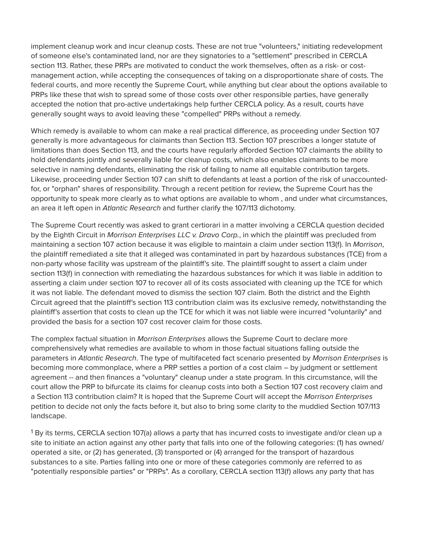implement cleanup work and incur cleanup costs. These are not true "volunteers," initiating redevelopment of someone else's contaminated land, nor are they signatories to a "settlement" prescribed in CERCLA section 113. Rather, these PRPs are motivated to conduct the work themselves, often as a risk- or costmanagement action, while accepting the consequences of taking on a disproportionate share of costs. The federal courts, and more recently the Supreme Court, while anything but clear about the options available to PRPs like these that wish to spread some of those costs over other responsible parties, have generally accepted the notion that pro-active undertakings help further CERCLA policy. As a result, courts have generally sought ways to avoid leaving these "compelled" PRPs without a remedy.

Which remedy is available to whom can make a real practical difference, as proceeding under Section 107 generally is more advantageous for claimants than Section 113. Section 107 prescribes a longer statute of limitations than does Section 113, and the courts have regularly afforded Section 107 claimants the ability to hold defendants jointly and severally liable for cleanup costs, which also enables claimants to be more selective in naming defendants, eliminating the risk of failing to name all equitable contribution targets. Likewise, proceeding under Section 107 can shift to defendants at least a portion of the risk of unaccountedfor, or "orphan" shares of responsibility. Through a recent petition for review, the Supreme Court has the opportunity to speak more clearly as to what options are available to whom , and under what circumstances, an area it left open in *Atlantic Research* and further clarify the 107/113 dichotomy.

The Supreme Court recently was asked to grant certiorari in a matter involving a CERCLA question decided by the Eighth Circuit in *Morrison Enterprises LLC v. Dravo Corp.*, in which the plaintiff was precluded from maintaining a section 107 action because it was eligible to maintain a claim under section 113(f). In *Morrison*, the plaintiff remediated a site that it alleged was contaminated in part by hazardous substances (TCE) from a non-party whose facility was upstream of the plaintiff's site. The plaintiff sought to assert a claim under section 113(f) in connection with remediating the hazardous substances for which it was liable in addition to asserting a claim under section 107 to recover all of its costs associated with cleaning up the TCE for which it was not liable. The defendant moved to dismiss the section 107 claim. Both the district and the Eighth Circuit agreed that the plaintiff's section 113 contribution claim was its exclusive remedy, notwithstanding the plaintiff's assertion that costs to clean up the TCE for which it was not liable were incurred "voluntarily" and provided the basis for a section 107 cost recover claim for those costs.

The complex factual situation in *Morrison Enterprises* allows the Supreme Court to declare more comprehensively what remedies are available to whom in those factual situations falling outside the parameters in *Atlantic Research*. The type of multifaceted fact scenario presented by *Morrison Enterprises* is becoming more commonplace, where a PRP settles a portion of a cost claim – by judgment or settlement agreement -- and then finances a "voluntary" cleanup under a state program. In this circumstance, will the court allow the PRP to bifurcate its claims for cleanup costs into both a Section 107 cost recovery claim and a Section 113 contribution claim? It is hoped that the Supreme Court will accept the *Morrison Enterprises* petition to decide not only the facts before it, but also to bring some clarity to the muddied Section 107/113 landscape.

 $^{\rm 1}$ By its terms, CERCLA section 107(a) allows a party that has incurred costs to investigate and/or clean up a site to initiate an action against any other party that falls into one of the following categories: (1) has owned/ operated a site, or (2) has generated, (3) transported or (4) arranged for the transport of hazardous substances to a site. Parties falling into one or more of these categories commonly are referred to as "potentially responsible parties" or "PRPs". As a corollary, CERCLA section 113(f) allows any party that has